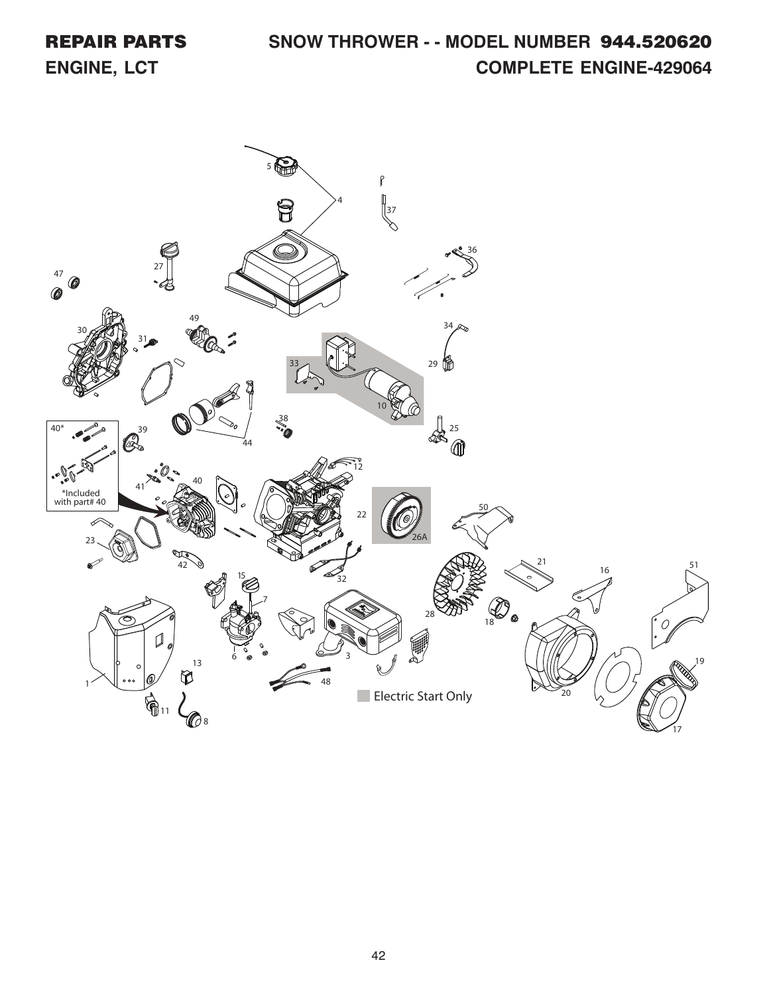